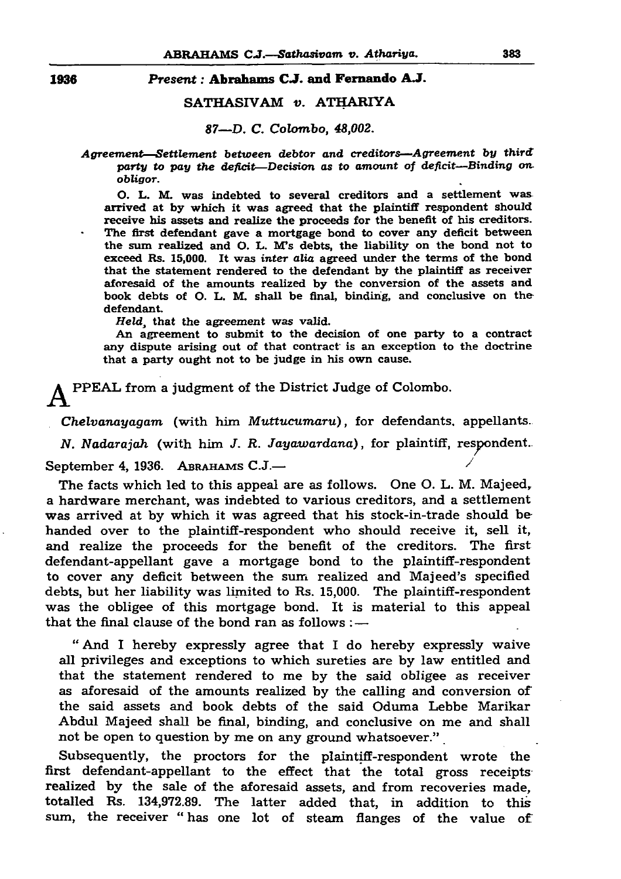## ABRAHAMS C.J*.—Sathasivam v. Aihariya.* 383

1936 *Present:* Abrahams *CJ.* and Fernando AJ.

SATHASIVAM *v.* ATHARIYA

*87—D. C. Colombo, 48,002.*

*Agreement—Settlement between debtor and creditors—Agreement by third: party to pay the deficit—Decision as to amount of deficit—Binding onobligor.*

*O.* L. M. was indebted to several creditors and a settlement was arrived at by which it was agreed that the plaintiff respondent should receive his assets and realize the proceeds for the benefit of his creditors. The first defendant gave a mortgage bond to cover any deficit between the sum realized and O. L. M's debts, the liability on the bond not to exceed Rs. 15,000. It was *inter alia* agreed under the terms of the bond that the statement rendered to the defendant by the plaintiff as receiver aforesaid of the amounts realized by the conversion of the assets and book debts of O. L. M. shall be final, binding, and conclusive on the defendant.

Held, that the agreement was valid.

The facts which led to this appeal are as follows. One O. L. M. Majeed, a hardware merchant, was indebted to various creditors, and a settlement was arrived at by which it was agreed that his stock-in-trade should be handed over to the plaintiff-respondent who should receive it, sell it, and realize the proceeds for the benefit of the creditors. The first defendant-appellant gave a mortgage bond to the plaintiff-respondent to cover any deficit between the sum realized and Majeed's specified debts, but her liability was limited to Rs. 15,000. The plaintiff-respondent was the obligee of this mortgage bond. It is material to this appeal that the final clause of the bond ran as follows  $: -$ 

An agreement to submit to the decision of one party to a contract any dispute arising out of that contract' is an exception to the doctrine that a party ought not to be judge in his own cause.

P P EA L from a judgment of the District Judge of Colombo.

*Chelvanayagam* (with him *Muttucumaru*), for defendants, appellants. *N. Nadarajah* (with him *J. R. Jayawardana)*, for plaintiff, respondent. September 4, 1936. A BRAHAMS C.J.—

Subsequently, the proctors for the plaintiff-respondent wrote the first defendant-appellant to the effect that the total gross receipts realized by the sale of the aforesaid assets, and from recoveries made, totalled Rs. 134,972.89. The latter added that, in addition to this sum, the receiver "has one lot of steam flanges of the value of

" And I hereby expressly agree that I do hereby expressly waive all privileges and exceptions to which sureties are by law entitled and that the statement rendered to me by the said obligee as receiver as aforesaid of the amounts realized by the calling and conversion of the said assets and book debts of the said Oduma Lebbe Marikar Abdul Majeed shall be final, binding, and conclusive on me and shall not be open to question by me on any ground whatsoever."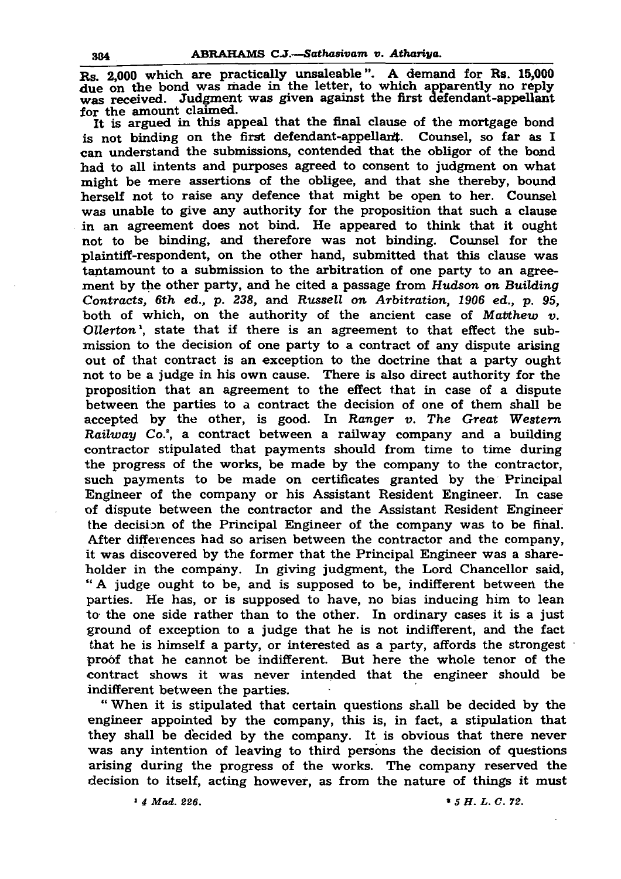## 384 ABRAHAMS C.J*.—Sathasivam v. Athariya.*

Rs. 2,000 which are practically unsaleable". A demand for Rs. 15,000 due on the bond was made in the letter, to which apparently no reply was received. Judgment was given against the first defendant-appellant for the amount claimed.

It is argued in this appeal that the final clause of the mortgage bond is not binding on the first defendant-appellart. Counsel, so far as I can understand the submissions, contended that the obligor of the bond had to all intents and purposes agreed to consent to judgment on what might be mere assertions of the obligee, and that she thereby, bound herself not to raise any defence that might be open to her. Counsel was unable to give any authority for the proposition that such a clause in an agreement does not bind. He appeared to think that it ought not to be binding, and therefore was not binding. Counsel for the plaintiff-respondent, on the other hand, submitted that this clause was tantamount to a submission to the arbitration of one party to an agreement by the other party, and he cited a passage from *Hudson on Building Contracts, 6th ed.,* p. *238,* and *Russell on Arbitration, 1906 ed., p. 95,* both of which, on the authority of the ancient case of *Matthew v. Ollerton',* state that if there is an agreement to that effect the submission to the decision of one party to a contract of any dispute arising out of that contract is an exception to the doctrine that a party ought not to be a judge in his own cause. There is also direct authority for the proposition that an agreement to the effect that in case of a dispute between the parties to a contract the decision of one of them shall be accepted by the other, is good. In *Ranger v. The Great Western Railway Co.\*,* a contract between a railway company and a building contractor stipulated that payments should from time to time during the progress of the works, be made by the company to the contractor, such payments to be made on certificates granted by the Principal Engineer of the company or his Assistant Resident Engineer. In case of dispute between the contractor and the Assistant Resident Engineer the decision of the Principal Engineer of the company was to be final. After differences had so arisen between the contractor and the company, it was discovered by the former that the Principal Engineer was a shareholder in the company. In giving judgment, the Lord Chancellor said, " A judge ought to be, and is supposed to be, indifferent between the parties. He has, or is supposed to have, no bias inducing him to lean to the one side rather than to the other. In ordinary cases it is a just ground of exception to a judge that he is not indifferent, and the fact that he is himself a party, or interested as a party, affords the strongest proof that he cannot be indifferent. But here the whole tenor of the contract shows it was never intended that the engineer should be indifferent between the parties.

" When it is stipulated that certain questions shall be decided by the engineer appointed by the company, this is, in fact, a stipulation that they shall be decided by the company. It is obvious that there never was any intention of leaving to third persons the decision of questions arising during the progress of the works. The company reserved the decision to itself, acting however, as from the nature of things it must

» *4 Mad. 226.* « *5 H . L . C. 72.*